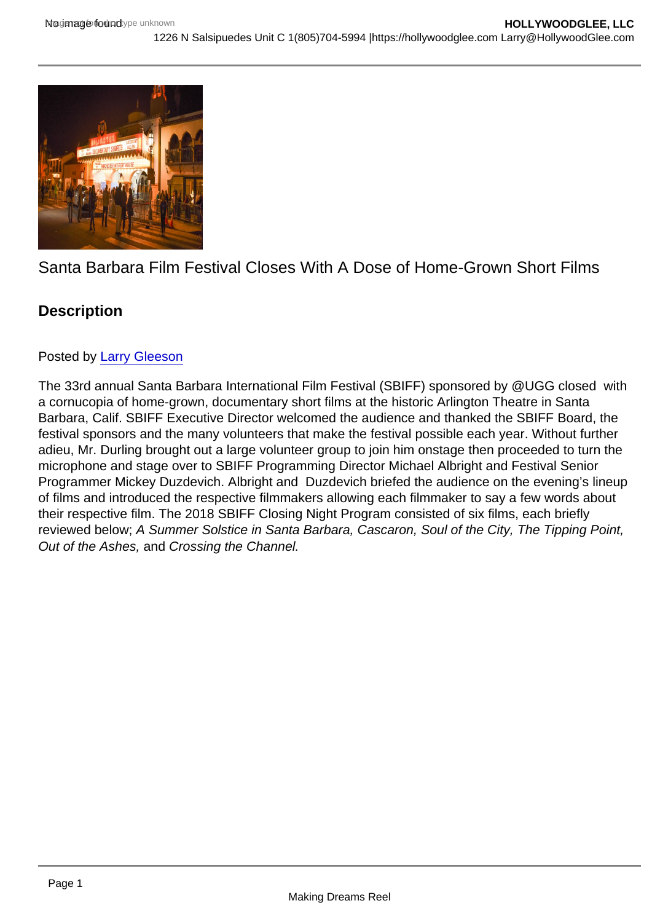# Santa Barbara Film Festival Closes With A Dose of Home-Grown Short Films

# **Description**

## Posted by [Larry Gleeson](https://studentfilmreviews.org/?s=Larry+Gleeson)

The 33rd annual Santa Barbara International Film Festival (SBIFF) sponsored by @UGG closed with a cornucopia of home-grown, documentary short films at the historic Arlington Theatre in Santa Barbara, Calif. SBIFF Executive Director welcomed the audience and thanked the SBIFF Board, the festival sponsors and the many volunteers that make the festival possible each year. Without further adieu, Mr. Durling brought out a large volunteer group to join him onstage then proceeded to turn the microphone and stage over to SBIFF Programming Director Michael Albright and Festival Senior Programmer Mickey Duzdevich. Albright and Duzdevich briefed the audience on the evening's lineup of films and introduced the respective filmmakers allowing each filmmaker to say a few words about their respective film. The 2018 SBIFF Closing Night Program consisted of six films, each briefly reviewed below; A Summer Solstice in Santa Barbara, Cascaron, Soul of the City, The Tipping Point, Out of the Ashes, and Crossing the Channel.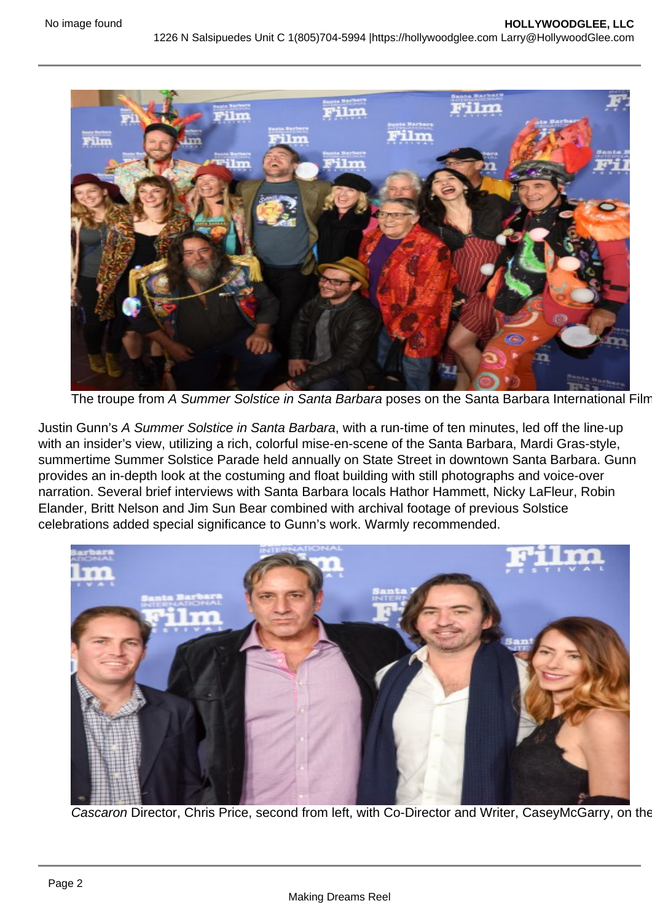

The troupe from A Summer Solstice in Santa Barbara poses on the Santa Barbara International Film

Justin Gunn's A Summer Solstice in Santa Barbara, with a run-time of ten minutes, led off the line-up with an insider's view, utilizing a rich, colorful mise-en-scene of the Santa Barbara, Mardi Gras-style, summertime Summer Solstice Parade held annually on State Street in downtown Santa Barbara. Gunn provides an in-depth look at the costuming and float building with still photographs and voice-over narration. Several brief interviews with Santa Barbara locals Hathor Hammett, Nicky LaFleur, Robin Elander, Britt Nelson and Jim Sun Bear combined with archival footage of previous Solstice celebrations added special significance to Gunn's work. Warmly recommended.



Cascaron Director, Chris Price, second from left, with Co-Director and Writer, CaseyMcGarry, on the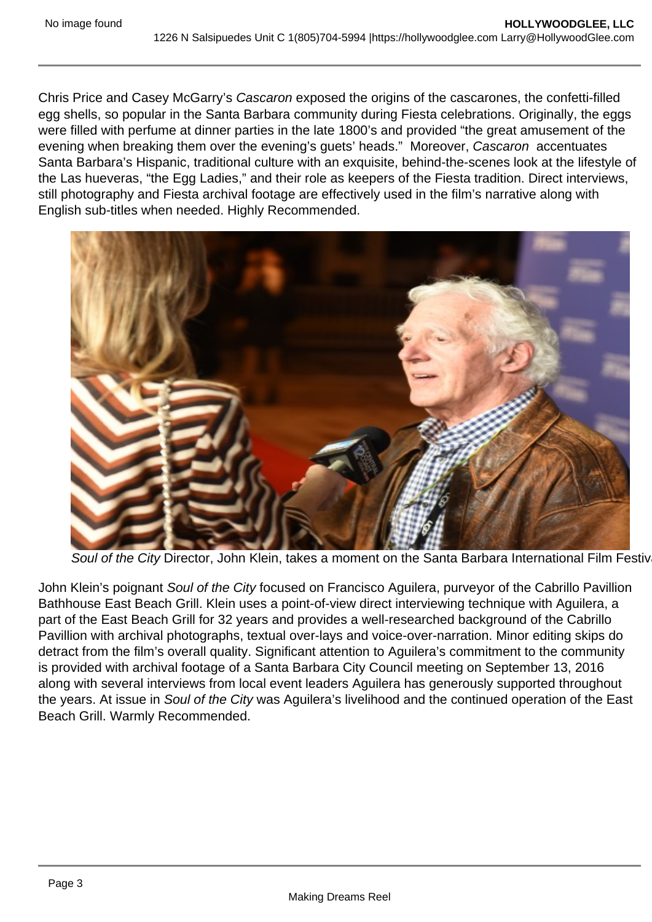Chris Price and Casey McGarry's Cascaron exposed the origins of the cascarones, the confetti-filled egg shells, so popular in the Santa Barbara community during Fiesta celebrations. Originally, the eggs were filled with perfume at dinner parties in the late 1800's and provided "the great amusement of the evening when breaking them over the evening's guets' heads." Moreover, Cascaron accentuates Santa Barbara's Hispanic, traditional culture with an exquisite, behind-the-scenes look at the lifestyle of the Las hueveras, "the Egg Ladies," and their role as keepers of the Fiesta tradition. Direct interviews, still photography and Fiesta archival footage are effectively used in the film's narrative along with English sub-titles when needed. Highly Recommended.



Soul of the City Director, John Klein, takes a moment on the Santa Barbara International Film Festiv

John Klein's poignant Soul of the City focused on Francisco Aguilera, purveyor of the Cabrillo Pavillion Bathhouse East Beach Grill. Klein uses a point-of-view direct interviewing technique with Aguilera, a part of the East Beach Grill for 32 years and provides a well-researched background of the Cabrillo Pavillion with archival photographs, textual over-lays and voice-over-narration. Minor editing skips do detract from the film's overall quality. Significant attention to Aguilera's commitment to the community is provided with archival footage of a Santa Barbara City Council meeting on September 13, 2016 along with several interviews from local event leaders Aguilera has generously supported throughout the years. At issue in Soul of the City was Aguilera's livelihood and the continued operation of the East Beach Grill. Warmly Recommended.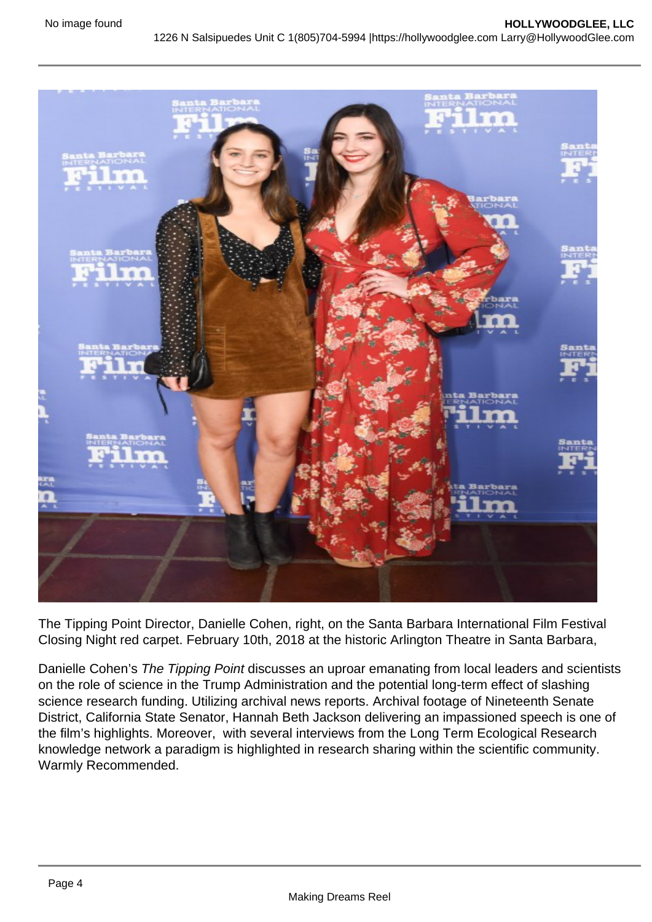

The Tipping Point Director, Danielle Cohen, right, on the Santa Barbara International Film Festival Closing Night red carpet. February 10th, 2018 at the historic Arlington Theatre in Santa Barbara,

Danielle Cohen's The Tipping Point discusses an uproar emanating from local leaders and scientists on the role of science in the Trump Administration and the potential long-term effect of slashing science research funding. Utilizing archival news reports. Archival footage of Nineteenth Senate District, California State Senator, Hannah Beth Jackson delivering an impassioned speech is one of the film's highlights. Moreover, with several interviews from the Long Term Ecological Research knowledge network a paradigm is highlighted in research sharing within the scientific community. Warmly Recommended.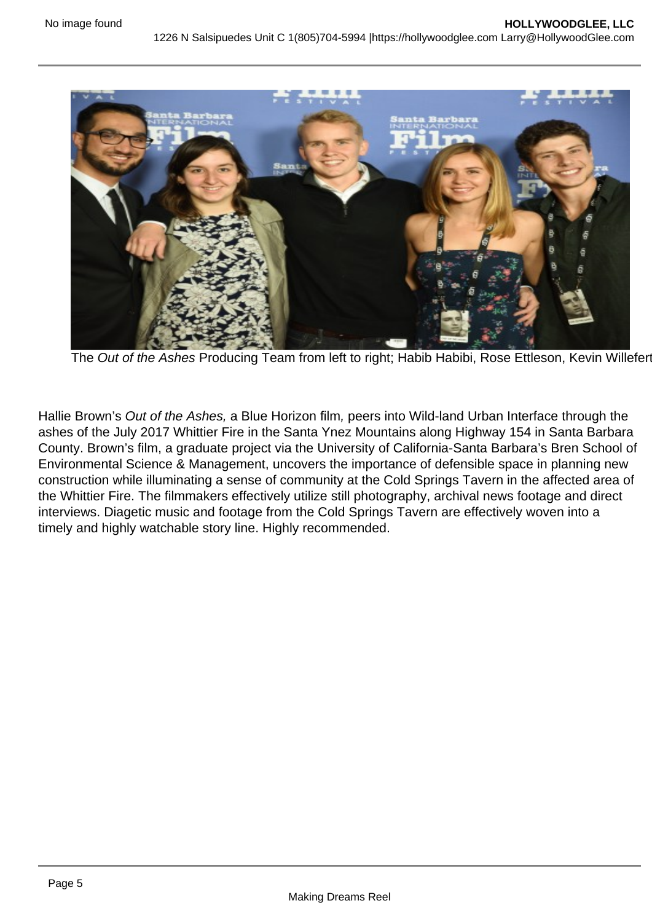

The Out of the Ashes Producing Team from left to right; Habib Habibi, Rose Ettleson, Kevin Willefer

Hallie Brown's Out of the Ashes, a Blue Horizon film, peers into Wild-land Urban Interface through the ashes of the July 2017 Whittier Fire in the Santa Ynez Mountains along Highway 154 in Santa Barbara County. Brown's film, a graduate project via the University of California-Santa Barbara's Bren School of Environmental Science & Management, uncovers the importance of defensible space in planning new construction while illuminating a sense of community at the Cold Springs Tavern in the affected area of the Whittier Fire. The filmmakers effectively utilize still photography, archival news footage and direct interviews. Diagetic music and footage from the Cold Springs Tavern are effectively woven into a timely and highly watchable story line. Highly recommended.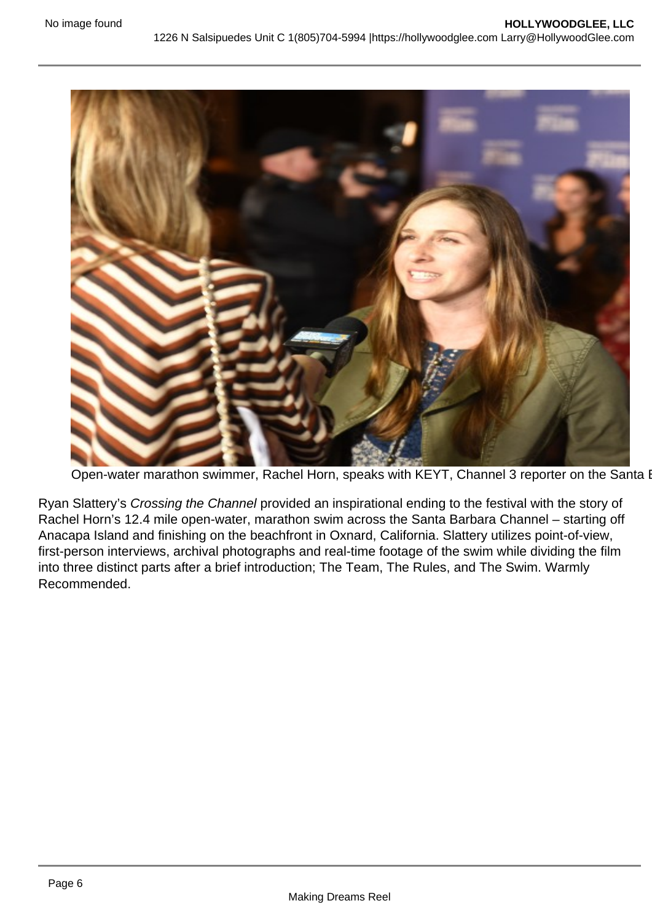

Open-water marathon swimmer, Rachel Horn, speaks with KEYT, Channel 3 reporter on the Santa I

Ryan Slattery's Crossing the Channel provided an inspirational ending to the festival with the story of Rachel Horn's 12.4 mile open-water, marathon swim across the Santa Barbara Channel – starting off Anacapa Island and finishing on the beachfront in Oxnard, California. Slattery utilizes point-of-view, first-person interviews, archival photographs and real-time footage of the swim while dividing the film into three distinct parts after a brief introduction; The Team, The Rules, and The Swim. Warmly Recommended.